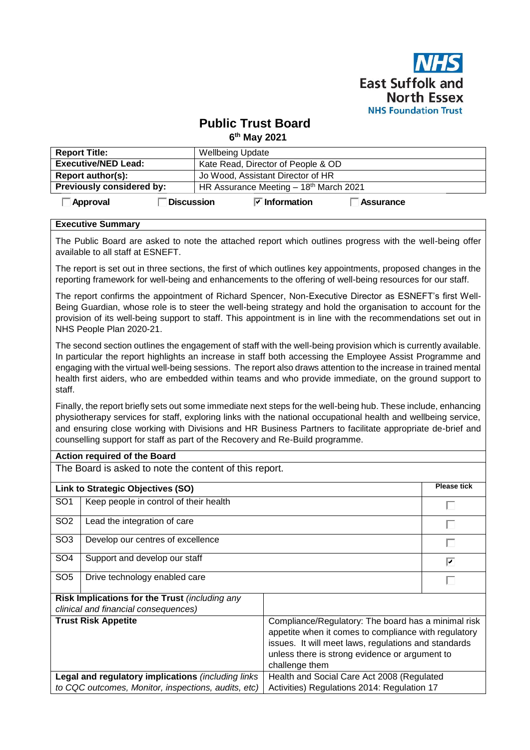

# **Public Trust Board**

**6 th May 2021**

| <b>Report Title:</b>             | <b>Wellbeing Update</b>                |  |  |
|----------------------------------|----------------------------------------|--|--|
| <b>Executive/NED Lead:</b>       | Kate Read, Director of People & OD     |  |  |
| <b>Report author(s):</b>         | Jo Wood, Assistant Director of HR      |  |  |
| <b>Previously considered by:</b> | HR Assurance Meeting - 18th March 2021 |  |  |
| <b>Discussion</b><br>Approval    | $\sqrt{ }$ Information<br>Assurance    |  |  |

#### **Executive Summary**

The Public Board are asked to note the attached report which outlines progress with the well-being offer available to all staff at ESNEFT.

The report is set out in three sections, the first of which outlines key appointments, proposed changes in the reporting framework for well-being and enhancements to the offering of well-being resources for our staff.

The report confirms the appointment of Richard Spencer, Non-Executive Director as ESNEFT's first Well-Being Guardian, whose role is to steer the well-being strategy and hold the organisation to account for the provision of its well-being support to staff. This appointment is in line with the recommendations set out in NHS People Plan 2020-21.

The second section outlines the engagement of staff with the well-being provision which is currently available. In particular the report highlights an increase in staff both accessing the Employee Assist Programme and engaging with the virtual well-being sessions. The report also draws attention to the increase in trained mental health first aiders, who are embedded within teams and who provide immediate, on the ground support to staff.

Finally, the report briefly sets out some immediate next steps for the well-being hub. These include, enhancing physiotherapy services for staff, exploring links with the national occupational health and wellbeing service, and ensuring close working with Divisions and HR Business Partners to facilitate appropriate de-brief and counselling support for staff as part of the Recovery and Re-Build programme.

#### **Action required of the Board**

The Board is asked to note the content of this report.

| Link to Strategic Objectives (SO)                   |                                        | <b>Please tick</b>                                   |   |  |
|-----------------------------------------------------|----------------------------------------|------------------------------------------------------|---|--|
| SO <sub>1</sub>                                     | Keep people in control of their health |                                                      |   |  |
| SO <sub>2</sub><br>Lead the integration of care     |                                        |                                                      |   |  |
| SO <sub>3</sub>                                     | Develop our centres of excellence      |                                                      |   |  |
| SO <sub>4</sub>                                     | Support and develop our staff          |                                                      | ⊽ |  |
| SO <sub>5</sub><br>Drive technology enabled care    |                                        |                                                      |   |  |
| Risk Implications for the Trust (including any      |                                        |                                                      |   |  |
| clinical and financial consequences)                |                                        |                                                      |   |  |
| <b>Trust Risk Appetite</b>                          |                                        | Compliance/Regulatory: The board has a minimal risk  |   |  |
|                                                     |                                        | appetite when it comes to compliance with regulatory |   |  |
|                                                     |                                        | issues. It will meet laws, regulations and standards |   |  |
|                                                     |                                        | unless there is strong evidence or argument to       |   |  |
|                                                     |                                        | challenge them                                       |   |  |
| Legal and regulatory implications (including links  |                                        | Health and Social Care Act 2008 (Regulated           |   |  |
| to CQC outcomes, Monitor, inspections, audits, etc) |                                        | Activities) Regulations 2014: Regulation 17          |   |  |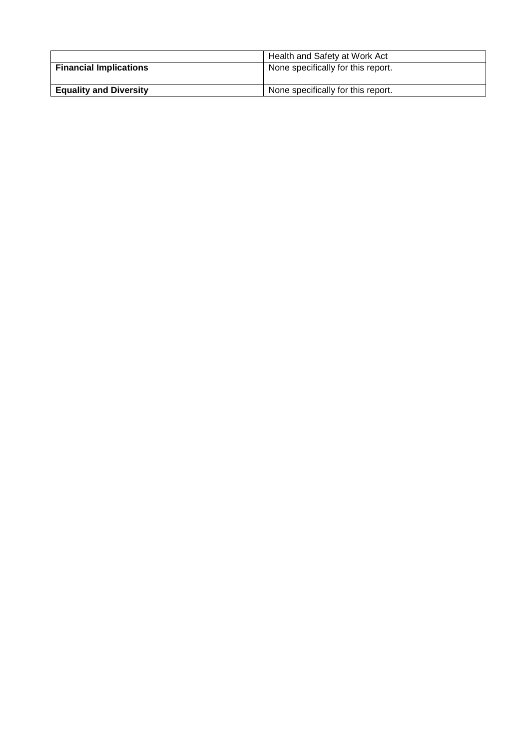|                               | Health and Safety at Work Act      |
|-------------------------------|------------------------------------|
| <b>Financial Implications</b> | None specifically for this report. |
|                               |                                    |
| <b>Equality and Diversity</b> | None specifically for this report. |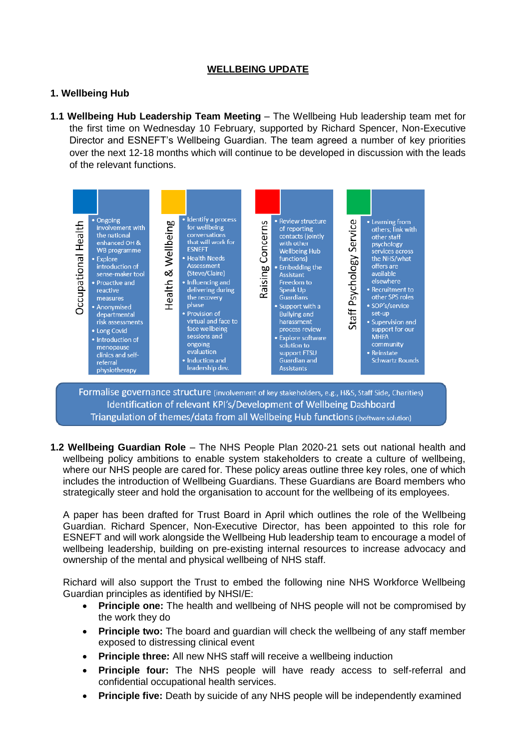### **WELLBEING UPDATE**

### **1. Wellbeing Hub**

**1.1 Wellbeing Hub Leadership Team Meeting** – The Wellbeing Hub leadership team met for the first time on Wednesday 10 February, supported by Richard Spencer, Non-Executive Director and ESNEFT's Wellbeing Guardian. The team agreed a number of key priorities over the next 12-18 months which will continue to be developed in discussion with the leads of the relevant functions.



Formalise governance structure (involvement of key stakeholders, e.g., H&S, Staff Side, Charities) Identification of relevant KPI's/Development of Wellbeing Dashboard Triangulation of themes/data from all Wellbeing Hub functions (?software solution)

**1.2 Wellbeing Guardian Role** – The NHS People Plan 2020-21 sets out national health and wellbeing policy ambitions to enable system stakeholders to create a culture of wellbeing, where our NHS people are cared for. These policy areas outline three key roles, one of which includes the introduction of Wellbeing Guardians. These Guardians are Board members who strategically steer and hold the organisation to account for the wellbeing of its employees.

A paper has been drafted for Trust Board in April which outlines the role of the Wellbeing Guardian. Richard Spencer, Non-Executive Director, has been appointed to this role for ESNEFT and will work alongside the Wellbeing Hub leadership team to encourage a model of wellbeing leadership, building on pre-existing internal resources to increase advocacy and ownership of the mental and physical wellbeing of NHS staff.

Richard will also support the Trust to embed the following nine NHS Workforce Wellbeing Guardian principles as identified by NHSI/E:

- **Principle one:** The health and wellbeing of NHS people will not be compromised by the work they do
- **Principle two:** The board and guardian will check the wellbeing of any staff member exposed to distressing clinical event
- **Principle three:** All new NHS staff will receive a wellbeing induction
- **Principle four:** The NHS people will have ready access to self-referral and confidential occupational health services.
- **Principle five:** Death by suicide of any NHS people will be independently examined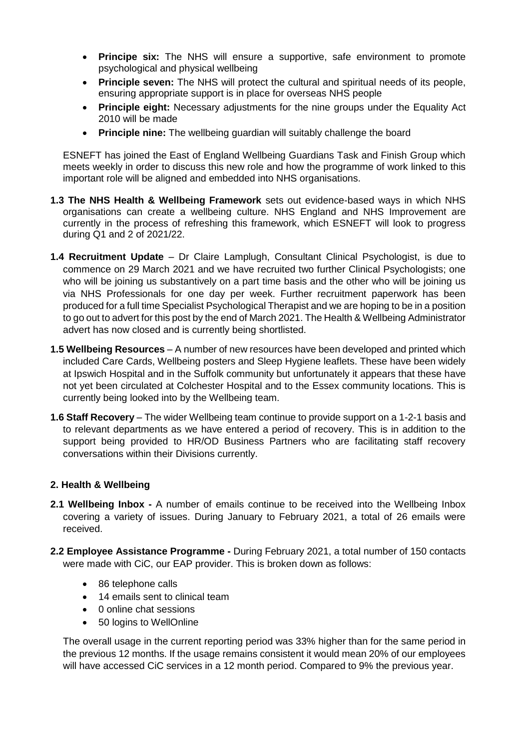- **Principe six:** The NHS will ensure a supportive, safe environment to promote psychological and physical wellbeing
- **Principle seven:** The NHS will protect the cultural and spiritual needs of its people, ensuring appropriate support is in place for overseas NHS people
- **Principle eight:** Necessary adjustments for the nine groups under the Equality Act 2010 will be made
- **Principle nine:** The wellbeing guardian will suitably challenge the board

ESNEFT has joined the East of England Wellbeing Guardians Task and Finish Group which meets weekly in order to discuss this new role and how the programme of work linked to this important role will be aligned and embedded into NHS organisations.

- **1.3 The NHS Health & Wellbeing Framework** sets out evidence-based ways in which NHS organisations can create a wellbeing culture. NHS England and NHS Improvement are currently in the process of refreshing this framework, which ESNEFT will look to progress during Q1 and 2 of 2021/22.
- **1.4 Recruitment Update**  Dr Claire Lamplugh, Consultant Clinical Psychologist, is due to commence on 29 March 2021 and we have recruited two further Clinical Psychologists; one who will be joining us substantively on a part time basis and the other who will be joining us via NHS Professionals for one day per week. Further recruitment paperwork has been produced for a full time Specialist Psychological Therapist and we are hoping to be in a position to go out to advert for this post by the end of March 2021. The Health & Wellbeing Administrator advert has now closed and is currently being shortlisted.
- **1.5 Wellbeing Resources**  A number of new resources have been developed and printed which included Care Cards, Wellbeing posters and Sleep Hygiene leaflets. These have been widely at Ipswich Hospital and in the Suffolk community but unfortunately it appears that these have not yet been circulated at Colchester Hospital and to the Essex community locations. This is currently being looked into by the Wellbeing team.
- **1.6 Staff Recovery**  The wider Wellbeing team continue to provide support on a 1-2-1 basis and to relevant departments as we have entered a period of recovery. This is in addition to the support being provided to HR/OD Business Partners who are facilitating staff recovery conversations within their Divisions currently.

# **2. Health & Wellbeing**

- **2.1 Wellbeing Inbox -** A number of emails continue to be received into the Wellbeing Inbox covering a variety of issues. During January to February 2021, a total of 26 emails were received.
- **2.2 Employee Assistance Programme -** During February 2021, a total number of 150 contacts were made with CiC, our EAP provider. This is broken down as follows:
	- 86 telephone calls
	- 14 emails sent to clinical team
	- 0 online chat sessions
	- 50 logins to WellOnline

The overall usage in the current reporting period was 33% higher than for the same period in the previous 12 months. If the usage remains consistent it would mean 20% of our employees will have accessed CiC services in a 12 month period. Compared to 9% the previous year.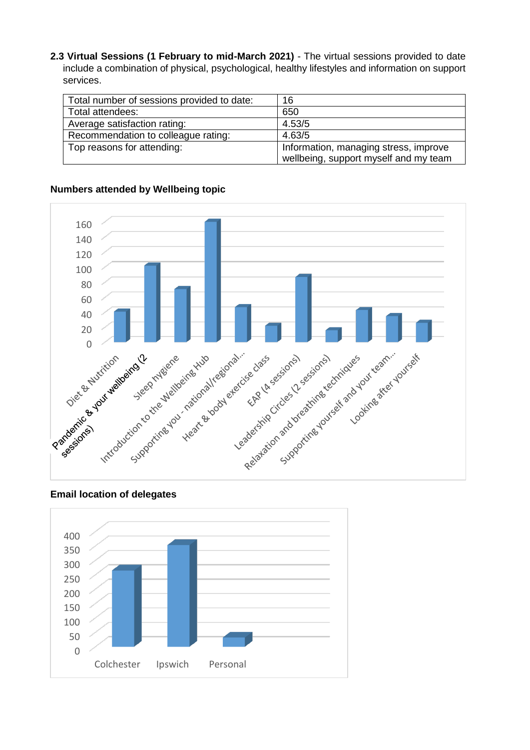**2.3 Virtual Sessions (1 February to mid-March 2021)** - The virtual sessions provided to date include a combination of physical, psychological, healthy lifestyles and information on support services.

| Total number of sessions provided to date: | 16                                                                             |
|--------------------------------------------|--------------------------------------------------------------------------------|
| Total attendees:                           | 650                                                                            |
| Average satisfaction rating:               | 4.53/5                                                                         |
| Recommendation to colleague rating:        | 4.63/5                                                                         |
| Top reasons for attending:                 | Information, managing stress, improve<br>wellbeing, support myself and my team |

# **Numbers attended by Wellbeing topic**



# **Email location of delegates**

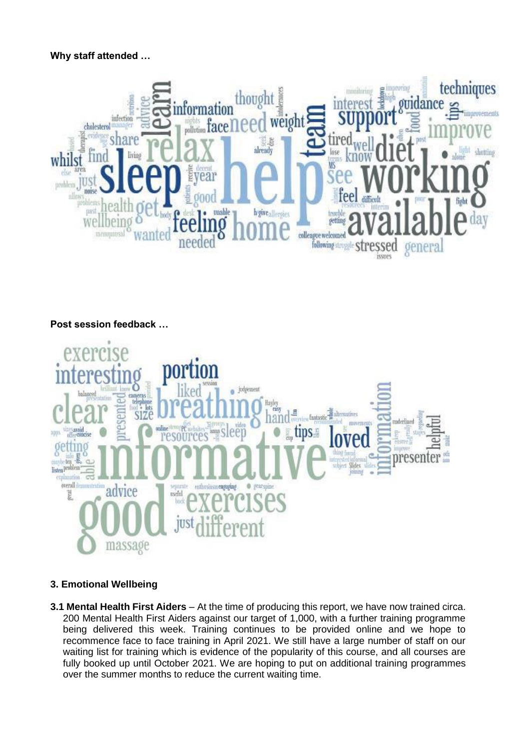**Why staff attended …** 



# **Post session feedback …**



# **3. Emotional Wellbeing**

**3.1 Mental Health First Aiders** – At the time of producing this report, we have now trained circa. 200 Mental Health First Aiders against our target of 1,000, with a further training programme being delivered this week. Training continues to be provided online and we hope to recommence face to face training in April 2021. We still have a large number of staff on our waiting list for training which is evidence of the popularity of this course, and all courses are fully booked up until October 2021. We are hoping to put on additional training programmes over the summer months to reduce the current waiting time.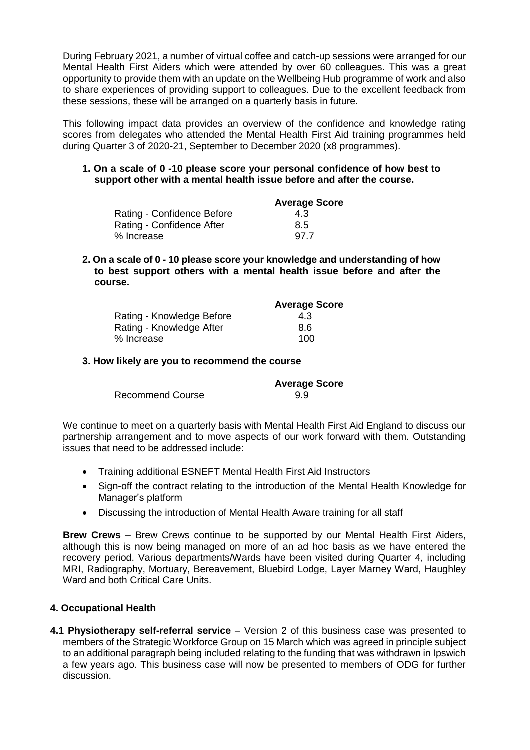During February 2021, a number of virtual coffee and catch-up sessions were arranged for our Mental Health First Aiders which were attended by over 60 colleagues. This was a great opportunity to provide them with an update on the Wellbeing Hub programme of work and also to share experiences of providing support to colleagues. Due to the excellent feedback from these sessions, these will be arranged on a quarterly basis in future.

This following impact data provides an overview of the confidence and knowledge rating scores from delegates who attended the Mental Health First Aid training programmes held during Quarter 3 of 2020-21, September to December 2020 (x8 programmes).

#### **1. On a scale of 0 -10 please score your personal confidence of how best to support other with a mental health issue before and after the course.**

|                            | <b>Average Score</b> |
|----------------------------|----------------------|
| Rating - Confidence Before | 4.3                  |
| Rating - Confidence After  | 8.5                  |
| % Increase                 | 97.7                 |

**2. On a scale of 0 - 10 please score your knowledge and understanding of how to best support others with a mental health issue before and after the course.**

|                           | <b>Average Score</b> |
|---------------------------|----------------------|
| Rating - Knowledge Before | 4.3                  |
| Rating - Knowledge After  | 8.6                  |
| % Increase                | 100                  |

### **3. How likely are you to recommend the course**

|                         | <b>Average Score</b> |
|-------------------------|----------------------|
| <b>Recommend Course</b> | 9.9                  |

We continue to meet on a quarterly basis with Mental Health First Aid England to discuss our partnership arrangement and to move aspects of our work forward with them. Outstanding issues that need to be addressed include:

- Training additional ESNEFT Mental Health First Aid Instructors
- Sign-off the contract relating to the introduction of the Mental Health Knowledge for Manager's platform
- Discussing the introduction of Mental Health Aware training for all staff

**Brew Crews** – Brew Crews continue to be supported by our Mental Health First Aiders, although this is now being managed on more of an ad hoc basis as we have entered the recovery period. Various departments/Wards have been visited during Quarter 4, including MRI, Radiography, Mortuary, Bereavement, Bluebird Lodge, Layer Marney Ward, Haughley Ward and both Critical Care Units.

### **4. Occupational Health**

**4.1 Physiotherapy self-referral service** – Version 2 of this business case was presented to members of the Strategic Workforce Group on 15 March which was agreed in principle subject to an additional paragraph being included relating to the funding that was withdrawn in Ipswich a few years ago. This business case will now be presented to members of ODG for further discussion.